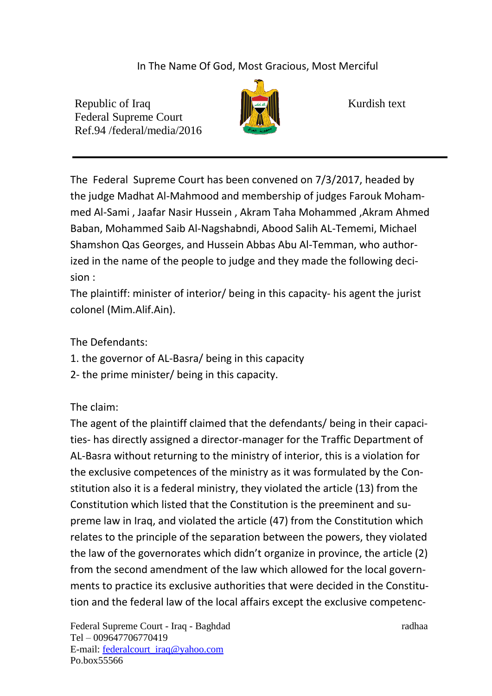In The Name Of God, Most Gracious, Most Merciful

Republic of Iraq Kurdish text Federal Supreme Court Ref.94 /federal/media/2016



The Federal Supreme Court has been convened on 7/3/2017, headed by the judge Madhat Al-Mahmood and membership of judges Farouk Mohammed Al-Sami , Jaafar Nasir Hussein , Akram Taha Mohammed ,Akram Ahmed Baban, Mohammed Saib Al-Nagshabndi, Abood Salih AL-Tememi, Michael Shamshon Qas Georges, and Hussein Abbas Abu Al-Temman, who authorized in the name of the people to judge and they made the following decision :

The plaintiff: minister of interior/ being in this capacity- his agent the jurist colonel (Mim.Alif.Ain).

The Defendants:

- 1. the governor of AL-Basra/ being in this capacity
- 2- the prime minister/ being in this capacity.

The claim:

The agent of the plaintiff claimed that the defendants/ being in their capacities- has directly assigned a director-manager for the Traffic Department of AL-Basra without returning to the ministry of interior, this is a violation for the exclusive competences of the ministry as it was formulated by the Constitution also it is a federal ministry, they violated the article (13) from the Constitution which listed that the Constitution is the preeminent and supreme law in Iraq, and violated the article (47) from the Constitution which relates to the principle of the separation between the powers, they violated the law of the governorates which didn't organize in province, the article (2) from the second amendment of the law which allowed for the local governments to practice its exclusive authorities that were decided in the Constitution and the federal law of the local affairs except the exclusive competenc-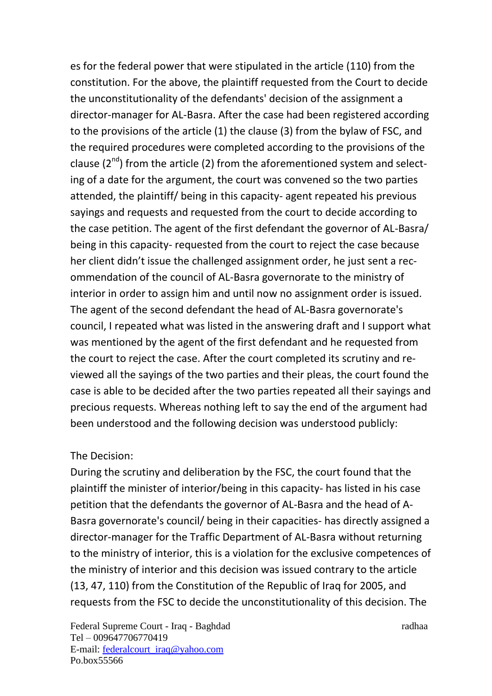es for the federal power that were stipulated in the article (110) from the constitution. For the above, the plaintiff requested from the Court to decide the unconstitutionality of the defendants' decision of the assignment a director-manager for AL-Basra. After the case had been registered according to the provisions of the article (1) the clause (3) from the bylaw of FSC, and the required procedures were completed according to the provisions of the clause  $(2^{nd})$  from the article  $(2)$  from the aforementioned system and selecting of a date for the argument, the court was convened so the two parties attended, the plaintiff/ being in this capacity- agent repeated his previous sayings and requests and requested from the court to decide according to the case petition. The agent of the first defendant the governor of AL-Basra/ being in this capacity- requested from the court to reject the case because her client didn't issue the challenged assignment order, he just sent a recommendation of the council of AL-Basra governorate to the ministry of interior in order to assign him and until now no assignment order is issued. The agent of the second defendant the head of AL-Basra governorate's council, I repeated what was listed in the answering draft and I support what was mentioned by the agent of the first defendant and he requested from the court to reject the case. After the court completed its scrutiny and reviewed all the sayings of the two parties and their pleas, the court found the case is able to be decided after the two parties repeated all their sayings and precious requests. Whereas nothing left to say the end of the argument had been understood and the following decision was understood publicly:

## The Decision:

During the scrutiny and deliberation by the FSC, the court found that the plaintiff the minister of interior/being in this capacity- has listed in his case petition that the defendants the governor of AL-Basra and the head of A-Basra governorate's council/ being in their capacities- has directly assigned a director-manager for the Traffic Department of AL-Basra without returning to the ministry of interior, this is a violation for the exclusive competences of the ministry of interior and this decision was issued contrary to the article (13, 47, 110) from the Constitution of the Republic of Iraq for 2005, and requests from the FSC to decide the unconstitutionality of this decision. The

Federal Supreme Court - Iraq - Baghdad radhaa radhaa Tel – 009647706770419 E-mail: [federalcourt\\_iraq@yahoo.com](mailto:federalcourt_iraq@yahoo.com) Po.box55566